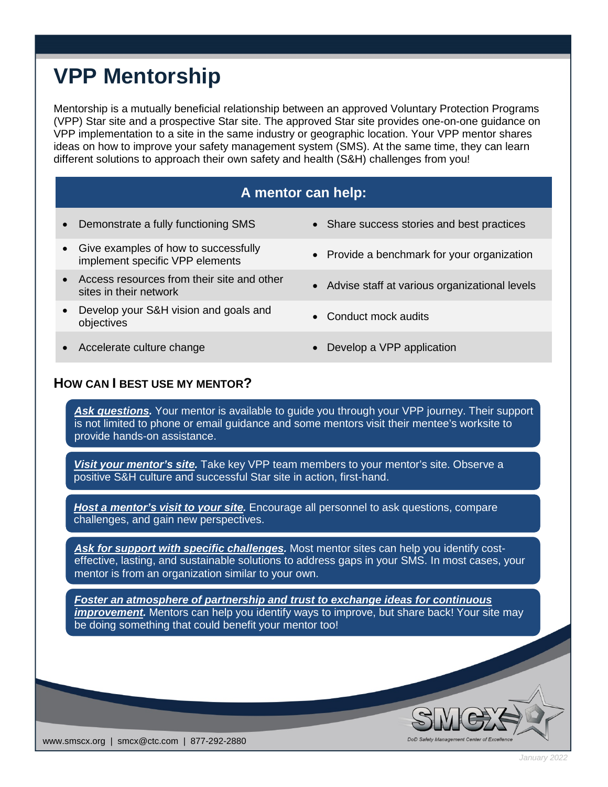## **VPP Mentorship**

Mentorship is a mutually beneficial relationship between an approved Voluntary Protection Programs (VPP) Star site and a prospective Star site. The approved Star site provides one-on-one guidance on VPP implementation to a site in the same industry or geographic location. Your VPP mentor shares ideas on how to improve your safety management system (SMS). At the same time, they can learn different solutions to approach their own safety and health (S&H) challenges from you!

## **A mentor can help:**

- Demonstrate a fully functioning SMS Share success stories and best practices
- Give examples of how to successfully implement specific VPP elements
- Access resources from their site and other Access resources from their site and other **•** Advise staff at various organizational levels sites in their network
- Develop your S&H vision and goals and Develop your Serif vision and goals and<br>objectives
- 
- 
- Provide a benchmark for your organization
- 
- 
- Accelerate culture change Develop a VPP application

## **HOW CAN I BEST USE MY MENTOR?**

Ask *questions*. Your mentor is available to quide you through your VPP journey. Their support is not limited to phone or email guidance and some mentors visit their mentee's worksite to provide hands-on assistance.

*Visit your mentor's site.* Take key VPP team members to your mentor's site. Observe a positive S&H culture and successful Star site in action, first-hand.

*Host a mentor's visit to your site.* Encourage all personnel to ask questions, compare challenges, and gain new perspectives.

*Ask for support with specific challenges.* Most mentor sites can help you identify costeffective, lasting, and sustainable solutions to address gaps in your SMS. In most cases, your mentor is from an organization similar to your own.

*Foster an atmosphere of partnership and trust to exchange ideas for continuous improvement.* Mentors can help you identify ways to improve, but share back! Your site may be doing something that could benefit your mentor too!